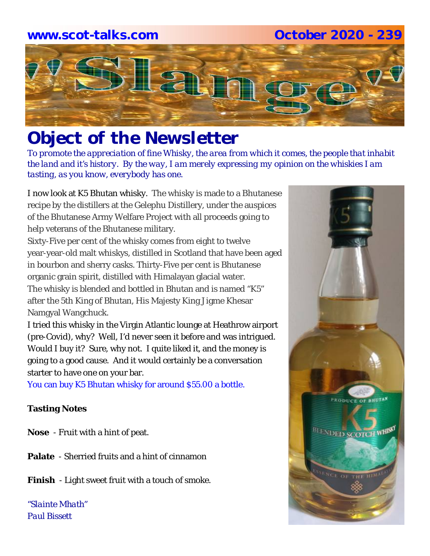# **www.scot-talks.com October 2020 - 239**



# *Object of the Newsletter*

*To promote the appreciation of fine Whisky, the area from which it comes, the people that inhabit the land and it's history. By the way, I am merely expressing my opinion on the whiskies I am tasting, as you know, everybody has one.* 

I now look at K5 Bhutan whisky. The whisky is made to a Bhutanese recipe by the distillers at the Gelephu Distillery, under the auspices of the Bhutanese Army Welfare Project with all proceeds going to help veterans of the Bhutanese military.

Sixty-Five per cent of the whisky comes from eight to twelve year-year-old malt whiskys, distilled in Scotland that have been aged in bourbon and sherry casks. Thirty-Five per cent is Bhutanese organic grain spirit, distilled with Himalayan glacial water. The whisky is blended and bottled in Bhutan and is named "K5" after the 5th King of Bhutan, His Majesty King Jigme Khesar Namgyal Wangchuck.

I tried this whisky in the Virgin Atlantic lounge at Heathrow airport (pre-Covid), why? Well, I'd never seen it before and was intrigued. Would I buy it? Sure, why not. I quite liked it, and the money is going to a good cause. And it would certainly be a conversation starter to have one on your bar.

You can buy K5 Bhutan whisky for around \$55.00 a bottle.

# **Tasting Notes**

- **Nose**  Fruit with a hint of peat.
- **Palate**  Sherried fruits and a hint of cinnamon
- **Finish**  Light sweet fruit with a touch of smoke.

*"Slainte Mhath" Paul Bissett*

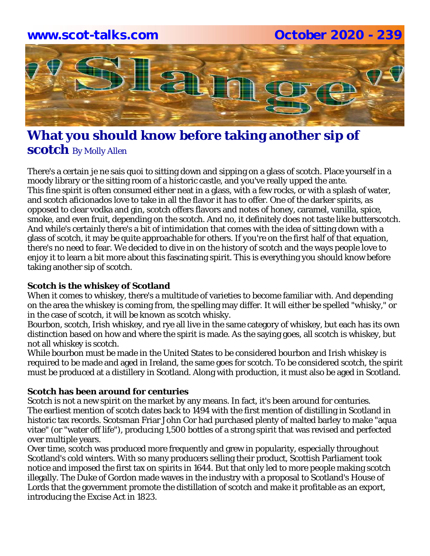# **www.scot-talks.com October 2020 - 239**Lain

# **What you should know before taking another sip of scotch** By Molly Allen

There's a certain je ne sais quoi to sitting down and sipping on a glass of scotch. Place yourself in a moody library or the sitting room of a historic castle, and you've really upped the ante. This fine spirit is often consumed either neat in a glass, with a few rocks, or with a splash of water, and scotch aficionados love to take in all the flavor it has to offer. One of the darker spirits, as opposed to clear vodka and gin, scotch offers flavors and notes of honey, caramel, vanilla, spice, smoke, and even fruit, depending on the scotch. And no, it definitely does not taste like butterscotch. And while's certainly there's a bit of intimidation that comes with the idea of sitting down with a glass of scotch, it may be quite approachable for others. If you're on the first half of that equation, there's no need to fear. We decided to dive in on the history of scotch and the ways people love to enjoy it to learn a bit more about this fascinating spirit. This is everything you should know before taking another sip of scotch.

# **Scotch is the whiskey of Scotland**

When it comes to whiskey, there's a multitude of varieties to become familiar with. And depending on the area the whiskey is coming from, the spelling may differ. It will either be spelled "whisky," or in the case of scotch, it will be known as scotch whisky.

Bourbon, scotch, Irish whiskey, and rye all live in the same category of whiskey, but each has its own distinction based on how and where the spirit is made. As the saying goes, all scotch is whiskey, but not all whiskey is scotch.

While bourbon must be made in the United States to be considered bourbon and Irish whiskey is required to be made and aged in Ireland, the same goes for scotch. To be considered scotch, the spirit must be produced at a distillery in Scotland. Along with production, it must also be aged in Scotland.

# **Scotch has been around for centuries**

Scotch is not a new spirit on the market by any means. In fact, it's been around for centuries. The earliest mention of scotch dates back to 1494 with the first mention of distilling in Scotland in historic tax records. Scotsman Friar John Cor had purchased plenty of malted barley to make "aqua vitae" (or "water off life"), producing 1,500 bottles of a strong spirit that was revised and perfected over multiple years.

Over time, scotch was produced more frequently and grew in popularity, especially throughout Scotland's cold winters. With so many producers selling their product, Scottish Parliament took notice and imposed the first tax on spirits in 1644. But that only led to more people making scotch illegally. The Duke of Gordon made waves in the industry with a proposal to Scotland's House of Lords that the government promote the distillation of scotch and make it profitable as an export, introducing the Excise Act in 1823.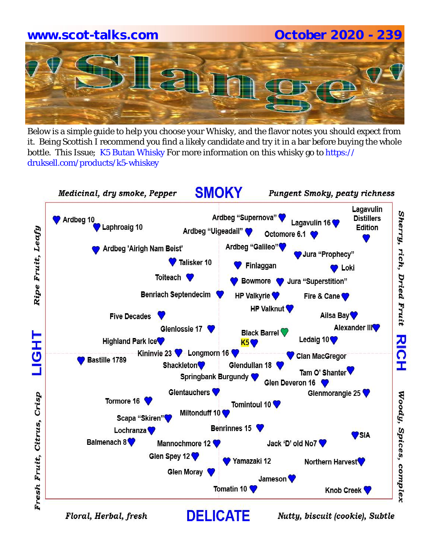# **www.scot-talks.com October 2020 - 239**

Below is a simple guide to help you choose your Whisky, and the flavor notes you should expect from it. Being Scottish I recommend you find a likely candidate and try it in a bar before buying the whole bottle. This Issue; K5 Butan Whisky For more information on this whisky go to https:// druksell.com/products/k5-whiskey



Floral, Herbal, fresh

Nutty, biscuit (cookie), Subtle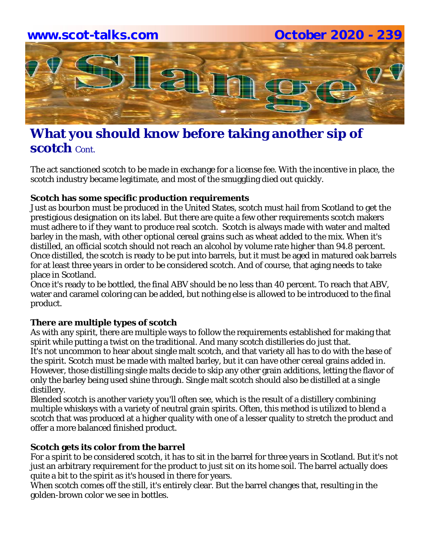

# **What you should know before taking another sip of scotch** Cont.

The act sanctioned scotch to be made in exchange for a license fee. With the incentive in place, the scotch industry became legitimate, and most of the smuggling died out quickly.

#### **Scotch has some specific production requirements**

Just as bourbon must be produced in the United States, scotch must hail from Scotland to get the prestigious designation on its label. But there are quite a few other requirements scotch makers must adhere to if they want to produce real scotch. Scotch is always made with water and malted barley in the mash, with other optional cereal grains such as wheat added to the mix. When it's distilled, an official scotch should not reach an alcohol by volume rate higher than 94.8 percent. Once distilled, the scotch is ready to be put into barrels, but it must be aged in matured oak barrels for at least three years in order to be considered scotch. And of course, that aging needs to take place in Scotland.

Once it's ready to be bottled, the final ABV should be no less than 40 percent. To reach that ABV, water and caramel coloring can be added, but nothing else is allowed to be introduced to the final product.

#### **There are multiple types of scotch**

As with any spirit, there are multiple ways to follow the requirements established for making that spirit while putting a twist on the traditional. And many scotch distilleries do just that. It's not uncommon to hear about single malt scotch, and that variety all has to do with the base of the spirit. Scotch must be made with malted barley, but it can have other cereal grains added in. However, those distilling single malts decide to skip any other grain additions, letting the flavor of only the barley being used shine through. Single malt scotch should also be distilled at a single distillery.

Blended scotch is another variety you'll often see, which is the result of a distillery combining multiple whiskeys with a variety of neutral grain spirits. Often, this method is utilized to blend a scotch that was produced at a higher quality with one of a lesser quality to stretch the product and offer a more balanced finished product.

# **Scotch gets its color from the barrel**

For a spirit to be considered scotch, it has to sit in the barrel for three years in Scotland. But it's not just an arbitrary requirement for the product to just sit on its home soil. The barrel actually does quite a bit to the spirit as it's housed in there for years.

When scotch comes off the still, it's entirely clear. But the barrel changes that, resulting in the golden-brown color we see in bottles.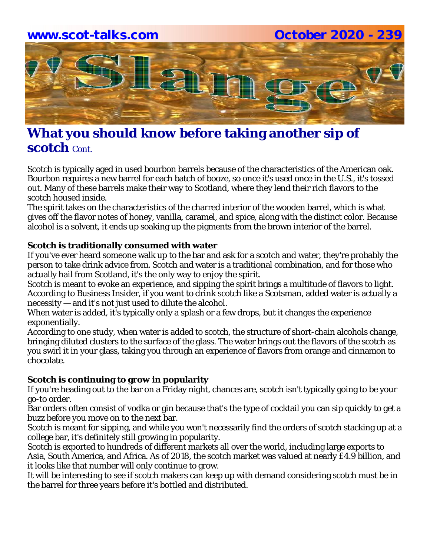# **www.scot-talks.com October 2020 - 239** 21

# **What you should know before taking another sip of scotch** Cont.

Scotch is typically aged in used bourbon barrels because of the characteristics of the American oak. Bourbon requires a new barrel for each batch of booze, so once it's used once in the U.S., it's tossed out. Many of these barrels make their way to Scotland, where they lend their rich flavors to the scotch housed inside.

The spirit takes on the characteristics of the charred interior of the wooden barrel, which is what gives off the flavor notes of honey, vanilla, caramel, and spice, along with the distinct color. Because alcohol is a solvent, it ends up soaking up the pigments from the brown interior of the barrel.

#### **Scotch is traditionally consumed with water**

If you've ever heard someone walk up to the bar and ask for a scotch and water, they're probably the person to take drink advice from. Scotch and water is a traditional combination, and for those who actually hail from Scotland, it's the only way to enjoy the spirit.

Scotch is meant to evoke an experience, and sipping the spirit brings a multitude of flavors to light. According to Business Insider, if you want to drink scotch like a Scotsman, added water is actually a necessity — and it's not just used to dilute the alcohol.

When water is added, it's typically only a splash or a few drops, but it changes the experience exponentially.

According to one study, when water is added to scotch, the structure of short-chain alcohols change, bringing diluted clusters to the surface of the glass. The water brings out the flavors of the scotch as you swirl it in your glass, taking you through an experience of flavors from orange and cinnamon to chocolate.

# **Scotch is continuing to grow in popularity**

If you're heading out to the bar on a Friday night, chances are, scotch isn't typically going to be your go-to order.

Bar orders often consist of vodka or gin because that's the type of cocktail you can sip quickly to get a buzz before you move on to the next bar.

Scotch is meant for sipping, and while you won't necessarily find the orders of scotch stacking up at a college bar, it's definitely still growing in popularity.

Scotch is exported to hundreds of different markets all over the world, including large exports to Asia, South America, and Africa. As of 2018, the scotch market was valued at nearly £4.9 billion, and it looks like that number will only continue to grow.

It will be interesting to see if scotch makers can keep up with demand considering scotch must be in the barrel for three years before it's bottled and distributed.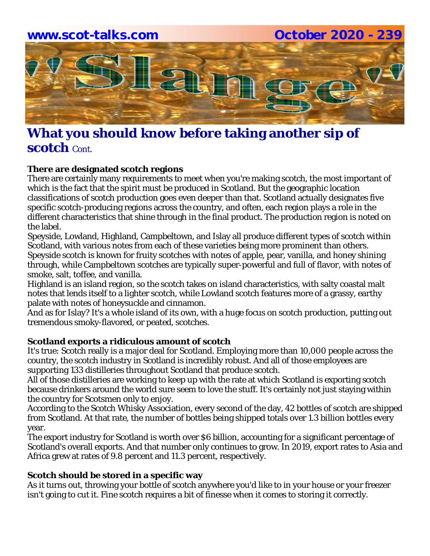

# **What you should know before taking another sip of scotch** Cont.

# **There are designated scotch regions**

There are certainly many requirements to meet when you're making scotch, the most important of which is the fact that the spirit must be produced in Scotland. But the geographic location classifications of scotch production goes even deeper than that. Scotland actually designates five specific scotch-producing regions across the country, and often, each region plays a role in the different characteristics that shine through in the final product. The production region is noted on the label.

Speyside, Lowland, Highland, Campbeltown, and Islay all produce different types of scotch within Scotland, with various notes from each of these varieties being more prominent than others. Speyside scotch is known for fruity scotches with notes of apple, pear, vanilla, and honey shining through, while Campbeltown scotches are typically super-powerful and full of flavor, with notes of smoke, salt, toffee, and vanilla.

Highland is an island region, so the scotch takes on island characteristics, with salty coastal malt notes that lends itself to a lighter scotch, while Lowland scotch features more of a grassy, earthy palate with notes of honeysuckle and cinnamon.

And as for Islay? It's a whole island of its own, with a huge focus on scotch production, putting out tremendous smoky-flavored, or peated, scotches.

#### **Scotland exports a ridiculous amount of scotch**

It's true: Scotch really is a major deal for Scotland. Employing more than 10,000 people across the country, the scotch industry in Scotland is incredibly robust. And all of those employees are supporting 133 distilleries throughout Scotland that produce scotch.

All of those distilleries are working to keep up with the rate at which Scotland is exporting scotch because drinkers around the world sure seem to love the stuff. It's certainly not just staying within the country for Scotsmen only to enjoy.

According to the Scotch Whisky Association, every second of the day, 42 bottles of scotch are shipped from Scotland. At that rate, the number of bottles being shipped totals over 1.3 billion bottles every year.

The export industry for Scotland is worth over \$6 billion, accounting for a significant percentage of Scotland's overall exports. And that number only continues to grow. In 2019, export rates to Asia and Africa grew at rates of 9.8 percent and 11.3 percent, respectively.

#### **Scotch should be stored in a specific way**

As it turns out, throwing your bottle of scotch anywhere you'd like to in your house or your freezer isn't going to cut it. Fine scotch requires a bit of finesse when it comes to storing it correctly.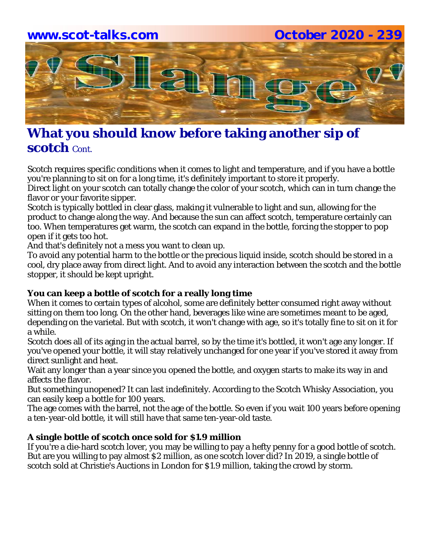# **www.scot-talks.com October 2020 - 239** lay

# **What you should know before taking another sip of scotch** Cont.

Scotch requires specific conditions when it comes to light and temperature, and if you have a bottle you're planning to sit on for a long time, it's definitely important to store it properly.

Direct light on your scotch can totally change the color of your scotch, which can in turn change the flavor or your favorite sipper.

Scotch is typically bottled in clear glass, making it vulnerable to light and sun, allowing for the product to change along the way. And because the sun can affect scotch, temperature certainly can too. When temperatures get warm, the scotch can expand in the bottle, forcing the stopper to pop open if it gets too hot.

And that's definitely not a mess you want to clean up.

To avoid any potential harm to the bottle or the precious liquid inside, scotch should be stored in a cool, dry place away from direct light. And to avoid any interaction between the scotch and the bottle stopper, it should be kept upright.

# **You can keep a bottle of scotch for a really long time**

When it comes to certain types of alcohol, some are definitely better consumed right away without sitting on them too long. On the other hand, beverages like wine are sometimes meant to be aged, depending on the varietal. But with scotch, it won't change with age, so it's totally fine to sit on it for a while.

Scotch does all of its aging in the actual barrel, so by the time it's bottled, it won't age any longer. If you've opened your bottle, it will stay relatively unchanged for one year if you've stored it away from direct sunlight and heat.

Wait any longer than a year since you opened the bottle, and oxygen starts to make its way in and affects the flavor.

But something unopened? It can last indefinitely. According to the Scotch Whisky Association, you can easily keep a bottle for 100 years.

The age comes with the barrel, not the age of the bottle. So even if you wait 100 years before opening a ten-year-old bottle, it will still have that same ten-year-old taste.

# **A single bottle of scotch once sold for \$1.9 million**

If you're a die-hard scotch lover, you may be willing to pay a hefty penny for a good bottle of scotch. But are you willing to pay almost \$2 million, as one scotch lover did? In 2019, a single bottle of scotch sold at Christie's Auctions in London for \$1.9 million, taking the crowd by storm.